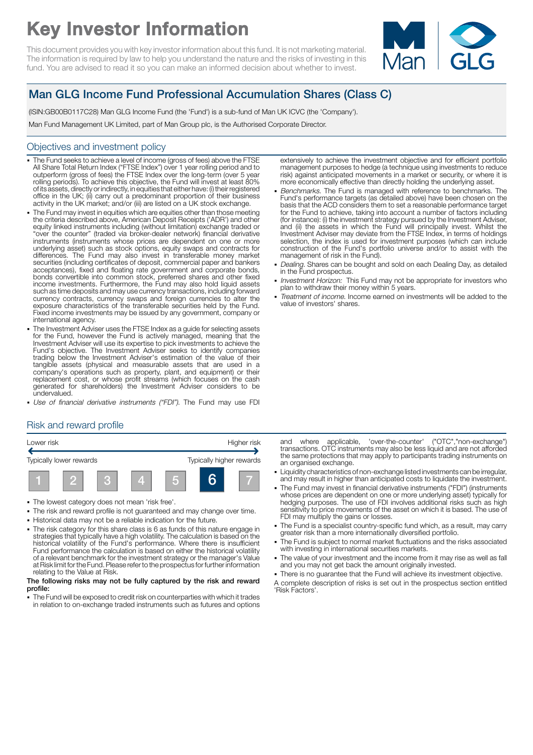# Key Investor Information

This document provides you with key investor information about this fund. It is not marketing material. The information is required by law to help you understand the nature and the risks of investing in this fund. You are advised to read it so you can make an informed decision about whether to invest.



## Man GLG Income Fund Professional Accumulation Shares (Class C)

(ISIN:GB00B0117C28) Man GLG Income Fund (the 'Fund') is a sub-fund of Man UK ICVC (the 'Company').

Man Fund Management UK Limited, part of Man Group plc, is the Authorised Corporate Director.

#### Objectives and investment policy

- The Fund seeks to achieve a level of income (gross of fees) above the FTSE All Share Total Return Index ("FTSE Index") over 1 year rolling period and to outperform (gross of fees) the FTSE Index over the long-term (over 5 year rolling periods). To achieve this objective, the Fund will invest at least 80% of its assets, directly or indirectly, in equities that either have: (i) their registered office in the UK; (ii) carry out a predominant proportion of their business activity in the UK market; and/or (iii) are listed on a UK stock exchange.
- 1 The Fund may invest in equities which are equities other than those meeting the criteria described above, American Deposit Receipts ('ADR') and other equity linked instruments including (without limitation) exchange traded or "over the counter" (traded via broker-dealer network) financial derivative instruments (instruments whose prices are dependent on one or more underlying asset) such as stock options, equity swaps and contracts for differences. The Fund may also invest in transferable money market securities (including certificates of deposit, commercial paper and bankers acceptances), fixed and floating rate government and corporate bonds, bonds convertible into common stock, preferred shares and other fixed income investments. Furthermore, the Fund may also hold liquid assets such as time deposits and may use currency transactions, including forward currency contracts, currency swaps and foreign currencies to alter the exposure characteristics of the transferable securities held by the Fund. Fixed income investments may be issued by any government, company or international agency.
- The Investment Adviser uses the FTSE Index as a guide for selecting assets for the Fund, however the Fund is actively managed, meaning that the Investment Adviser will use its expertise to pick investments to achieve the Fund's objective. The Investment Adviser seeks to identify companies trading below the Investment Adviser's estimation of the value of their tangible assets (physical and measurable assets that are used in a company's operations such as property, plant, and equipment) or their replacement cost, or whose profit streams (which focuses on the cash generated for shareholders) the Investment Adviser considers to be undervalued.
- Use of financial derivative instruments ("FDI"). The Fund may use FDI

#### extensively to achieve the investment objective and for efficient portfolio management purposes to hedge (a technique using investments to reduce risk) against anticipated movements in a market or security, or where it is more economically effective than directly holding the underlying asset.

- Benchmarks. The Fund is managed with reference to benchmarks. The Fund's performance targets (as detailed above) have been chosen on the basis that the ACD considers them to set a reasonable performance target for the Fund to achieve, taking into account a number of factors including (for instance): (i) the investment strategy pursued by the Investment Adviser, and (ii) the assets in which the Fund will principally invest. Whilst the Investment Adviser may deviate from the FTSE Index, in terms of holdings selection, the index is used for investment purposes (which can include construction of the Fund's portfolio universe and/or to assist with the management of risk in the Fund).
- Dealing. Shares can be bought and sold on each Dealing Day, as detailed in the Fund prospectus.
- Investment Horizon: This Fund may not be appropriate for investors who plan to withdraw their money within 5 years.
- Treatment of income. Income earned on investments will be added to the value of investors' shares.

## Risk and reward profile



- 1 The lowest category does not mean 'risk free'.
- The risk and reward profile is not quaranteed and may change over time.
- 1 Historical data may not be a reliable indication for the future.
- The risk category for this share class is 6 as funds of this nature engage in strategies that typically have a high volatility. The calculation is based on the historical volatility of the Fund's performance. Where there is insufficient Fund performance the calculation is based on either the historical volatility of a relevant benchmark for the investment strategy or the manager's Value at Risk limit for the Fund. Please refer to the prospectus for further information relating to the Value at Risk.

#### The following risks may not be fully captured by the risk and reward profile:

1 The Fund will be exposed to credit risk on counterparties with which it trades in relation to on-exchange traded instruments such as futures and options

and where applicable, 'over-the-counter' ("OTC","non-exchange") transactions. OTC instruments may also be less liquid and are not afforded the same protections that may apply to participants trading instruments on an organised exchange.

- 1 Liquidity characteristics of non-exchange listed investments can be irregular, and may result in higher than anticipated costs to liquidate the investment.
- The Fund may invest in financial derivative instruments ("FDI") (instruments whose prices are dependent on one or more underlying asset) typically for hedging purposes. The use of FDI involves additional risks such as high sensitivity to price movements of the asset on which it is based. The use of FDI may multiply the gains or losses.
- The Fund is a specialist country-specific fund which, as a result, may carry greater risk than a more internationally diversified portfolio.
- The Fund is subject to normal market fluctuations and the risks associated with investing in international securities markets.
- The value of your investment and the income from it may rise as well as fall and you may not get back the amount originally invested.
- . There is no quarantee that the Fund will achieve its investment objective.

A complete description of risks is set out in the prospectus section entitled 'Risk Factors'.